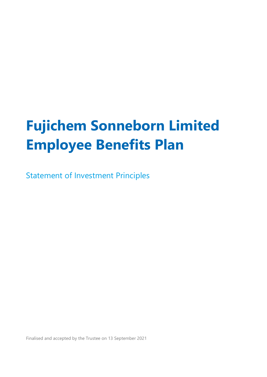# **Fujichem Sonneborn Limited Employee Benefits Plan**

Statement of Investment Principles

Finalised and accepted by the Trustee on 13 September 2021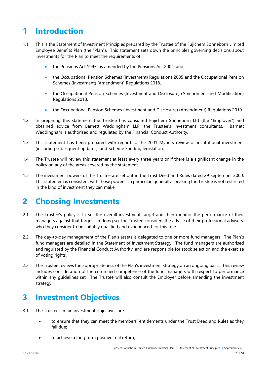# **1 Introduction**

- 1.1 This is the Statement of Investment Principles prepared by the Trustee of the Fujichem Sonneborn Limited Employee Benefits Plan (the "Plan"). This statement sets down the principles governing decisions about investments for the Plan to meet the requirements of:
	- the Pensions Act 1995, as amended by the Pensions Act 2004; and
	- the Occupational Pension Schemes (Investment) Regulations 2005 and the Occupational Pension Schemes (Investment) (Amendment) Regulations 2018.
	- the Occupational Pension Schemes (Investment and Disclosure) (Amendment and Modification) Regulations 2018.
	- the Occupational Pension Schemes (Investment and Disclosure) (Amendment) Regulations 2019.
- 1.2 In preparing this statement the Trustee has consulted Fujichem Sonneborn Ltd (the "Employer") and obtained advice from Barnett Waddingham LLP, the Trustee's investment consultants. Barnett Waddingham is authorised and regulated by the Financial Conduct Authority.
- 1.3 This statement has been prepared with regard to the 2001 Myners review of institutional investment (including subsequent updates), and Scheme Funding legislation.
- 1.4 The Trustee will review this statement at least every three years or if there is a significant change in the policy on any of the areas covered by the statement.
- 1.5 The investment powers of the Trustee are set out in the Trust Deed and Rules dated 29 September 2000. This statement is consistent with those powers. In particular, generally speaking the Trustee is not restricted in the kind of investment they can make.

# **2 Choosing Investments**

- 2.1 The Trustee's policy is to set the overall investment target and then monitor the performance of their managers against that target. In doing so, the Trustee considers the advice of their professional advisers, who they consider to be suitably qualified and experienced for this role.
- 2.2 The day-to-day management of the Plan's assets is delegated to one or more fund managers. The Plan's fund managers are detailed in the Statement of Investment Strategy. The fund managers are authorised and regulated by the Financial Conduct Authority, and are responsible for stock selection and the exercise of voting rights.
- 2.3 The Trustee reviews the appropriateness of the Plan's investment strategy on an ongoing basis. This review includes consideration of the continued competence of the fund managers with respect to performance within any guidelines set. The Trustee will also consult the Employer before amending the investment strategy.

### **3 Investment Objectives**

- 3.1 The Trustee's main investment objectives are:
	- to ensure that they can meet the members' entitlements under the Trust Deed and Rules as they fall due;
	- to achieve a long term positive real return;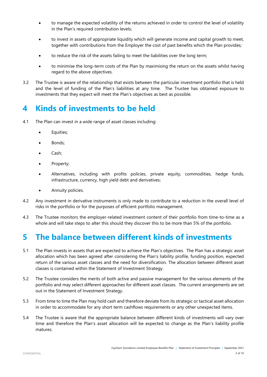- to manage the expected volatility of the returns achieved in order to control the level of volatility in the Plan's required contribution levels;
- to invest in assets of appropriate liquidity which will generate income and capital growth to meet, together with contributions from the Employer the cost of past benefits which the Plan provides;
- to reduce the risk of the assets failing to meet the liabilities over the long term;
- to minimise the long-term costs of the Plan by maximising the return on the assets whilst having regard to the above objectives.
- 3.2 The Trustee is aware of the relationship that exists between the particular investment portfolio that is held and the level of funding of the Plan's liabilities at any time. The Trustee has obtained exposure to investments that they expect will meet the Plan's objectives as best as possible.

### **4 Kinds of investments to be held**

- 4.1 The Plan can invest in a wide range of asset classes including:
	- Equities;
	- Bonds;
	- Cash;
	- Property;
	- Alternatives, including with profits policies, private equity, commodities, hedge funds, infrastructure, currency, high yield debt and derivatives;
	- **•** Annuity policies.
- 4.2 Any investment in derivative instruments is only made to contribute to a reduction in the overall level of risks in the portfolio or for the purposes of efficient portfolio management.
- 4.3 The Trustee monitors the employer-related investment content of their portfolio from time-to-time as a whole and will take steps to alter this should they discover this to be more than 5% of the portfolio.

### **5 The balance between different kinds of investments**

- 5.1 The Plan invests in assets that are expected to achieve the Plan's objectives. The Plan has a strategic asset allocation which has been agreed after considering the Plan's liability profile, funding position, expected return of the various asset classes and the need for diversification. The allocation between different asset classes is contained within the Statement of Investment Strategy.
- 5.2 The Trustee considers the merits of both active and passive management for the various elements of the portfolio and may select different approaches for different asset classes. The current arrangements are set out in the Statement of Investment Strategy.
- 5.3 From time to time the Plan may hold cash and therefore deviate from its strategic or tactical asset allocation in order to accommodate for any short term cashflows requirements or any other unexpected items.
- 5.4 The Trustee is aware that the appropriate balance between different kinds of investments will vary over time and therefore the Plan's asset allocation will be expected to change as the Plan's liability profile matures.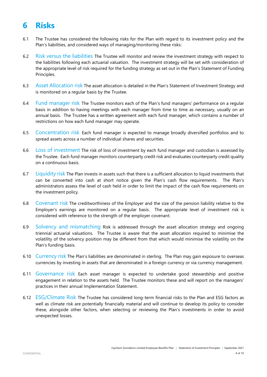### **6 Risks**

- 6.1 The Trustee has considered the following risks for the Plan with regard to its investment policy and the Plan's liabilities, and considered ways of managing/monitoring these risks:
- 6.2 Risk versus the liabilities The Trustee will monitor and review the investment strategy with respect to the liabilities following each actuarial valuation. The investment strategy will be set with consideration of the appropriate level of risk required for the funding strategy as set out in the Plan's Statement of Funding Principles.
- 6.3 Asset Allocation risk The asset allocation is detailed in the Plan's Statement of Investment Strategy and is monitored on a regular basis by the Trustee.
- 6.4 Fund manager risk The Trustee monitors each of the Plan's fund managers' performance on a regular basis in addition to having meetings with each manager from time to time as necessary, usually on an annual basis. The Trustee has a written agreement with each fund manager, which contains a number of restrictions on how each fund manager may operate.
- 6.5 Concentration risk Each fund manager is expected to manage broadly diversified portfolios and to spread assets across a number of individual shares and securities.
- 6.6 Loss of investment The risk of loss of investment by each fund manager and custodian is assessed by the Trustee. Each fund manager monitors counterparty credit risk and evaluates counterparty credit quality on a continuous basis.
- 6.7 Liquidity risk The Plan invests in assets such that there is a sufficient allocation to liquid investments that can be converted into cash at short notice given the Plan's cash flow requirements. The Plan's administrators assess the level of cash held in order to limit the impact of the cash flow requirements on the investment policy.
- 6.8 Covenant risk The creditworthiness of the Employer and the size of the pension liability relative to the Employer's earnings are monitored on a regular basis. The appropriate level of investment risk is considered with reference to the strength of the employer covenant.
- 6.9 Solvency and mismatching Risk is addressed through the asset allocation strategy and ongoing triennial actuarial valuations. The Trustee is aware that the asset allocation required to minimise the volatility of the solvency position may be different from that which would minimise the volatility on the Plan's funding basis.
- 6.10 Currency risk The Plan's liabilities are denominated in sterling. The Plan may gain exposure to overseas currencies by investing in assets that are denominated in a foreign currency or via currency management.
- 6.11 Governance risk Each asset manager is expected to undertake good stewardship and positive engagement in relation to the assets held. The Trustee monitors these and will report on the managers' practices in their annual Implementation Statement.
- 6.12 ESG/Climate Risk The Trustee has considered long-term financial risks to the Plan and ESG factors as well as climate risk are potentially financially material and will continue to develop its policy to consider these, alongside other factors, when selecting or reviewing the Plan's investments in order to avoid unexpected losses.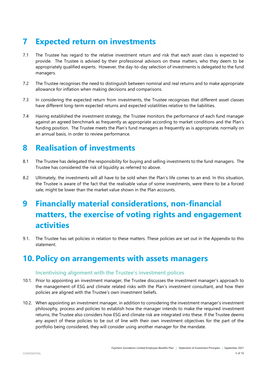# **7 Expected return on investments**

- 7.1 The Trustee has regard to the relative investment return and risk that each asset class is expected to provide. The Trustee is advised by their professional advisors on these matters, who they deem to be appropriately qualified experts. However, the day-to-day selection of investments is delegated to the fund managers.
- 7.2 The Trustee recognises the need to distinguish between nominal and real returns and to make appropriate allowance for inflation when making decisions and comparisons.
- 7.3 In considering the expected return from investments, the Trustee recognises that different asset classes have different long-term expected returns and expected volatilities relative to the liabilities.
- 7.4 Having established the investment strategy, the Trustee monitors the performance of each fund manager against an agreed benchmark as frequently as appropriate according to market conditions and the Plan's funding position. The Trustee meets the Plan's fund managers as frequently as is appropriate, normally on an annual basis, in order to review performance.

# **8 Realisation of investments**

- 8.1 The Trustee has delegated the responsibility for buying and selling investments to the fund managers. The Trustee has considered the risk of liquidity as referred to above.
- 8.2 Ultimately, the investments will all have to be sold when the Plan's life comes to an end. In this situation, the Trustee is aware of the fact that the realisable value of some investments, were there to be a forced sale, might be lower than the market value shown in the Plan accounts.

# **9 Financially material considerations, non-financial matters, the exercise of voting rights and engagement activities**

9.1. The Trustee has set policies in relation to these matters. These policies are set out in the Appendix to this statement.

### **10. Policy on arrangements with assets managers**

#### **Incentivising alignment with the Trustee's investment polices**

- 10.1. Prior to appointing an investment manager, the Trustee discusses the investment manager's approach to the management of ESG and climate related risks with the Plan's investment consultant, and how their policies are aligned with the Trustee's own investment beliefs.
- 10.2. When appointing an investment manager, in addition to considering the investment manager's investment philosophy, process and policies to establish how the manager intends to make the required investment returns, the Trustee also considers how ESG and climate risk are integrated into these. If the Trustee deems any aspect of these policies to be out of line with their own investment objectives for the part of the portfolio being considered, they will consider using another manager for the mandate.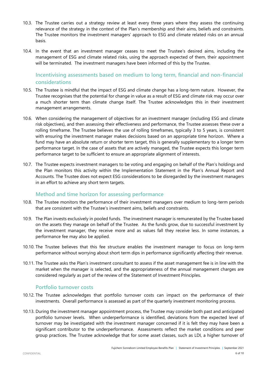- 10.3. The Trustee carries out a strategy review at least every three years where they assess the continuing relevance of the strategy in the context of the Plan's membership and their aims, beliefs and constraints. The Trustee monitors the investment managers' approach to ESG and climate related risks on an annual basis.
- 10.4. In the event that an investment manager ceases to meet the Trustee's desired aims, including the management of ESG and climate related risks, using the approach expected of them, their appointment will be terminated. The investment managers have been informed of this by the Trustee.

#### **Incentivising assessments based on medium to long term, financial and non-financial considerations**

- 10.5. The Trustee is mindful that the impact of ESG and climate change has a long-term nature. However, the Trustee recognises that the potential for change in value as a result of ESG and climate risk may occur over a much shorter term than climate change itself. The Trustee acknowledges this in their investment management arrangements.
- 10.6. When considering the management of objectives for an investment manager (including ESG and climate risk objectives), and then assessing their effectiveness and performance, the Trustee assesses these over a rolling timeframe. The Trustee believes the use of rolling timeframes, typically 3 to 5 years, is consistent with ensuring the investment manager makes decisions based on an appropriate time horizon. Where a fund may have an absolute return or shorter term target, this is generally supplementary to a longer term performance target. In the case of assets that are actively managed, the Trustee expects this longer term performance target to be sufficient to ensure an appropriate alignment of interests.
- 10.7. The Trustee expects investment managers to be voting and engaging on behalf of the Plan's holdings and the Plan monitors this activity within the Implementation Statement in the Plan's Annual Report and Accounts. The Trustee does not expect ESG considerations to be disregarded by the investment managers in an effort to achieve any short term targets.

#### **Method and time horizon for assessing performance**

- 10.8. The Trustee monitors the performance of their investment managers over medium to long-term periods that are consistent with the Trustee's investment aims, beliefs and constraints.
- 10.9. The Plan invests exclusively in pooled funds. The investment manager is remunerated by the Trustee based on the assets they manage on behalf of the Trustee. As the funds grow, due to successful investment by the investment manager, they receive more and as values fall they receive less. In some instances, a performance fee may also be applied.
- 10.10. The Trustee believes that this fee structure enables the investment manager to focus on long-term performance without worrying about short term dips in performance significantly affecting their revenue.
- 10.11. The Trustee asks the Plan's investment consultant to assess if the asset management fee is in line with the market when the manager is selected, and the appropriateness of the annual management charges are considered regularly as part of the review of the Statement of Investment Principles.

#### **Portfolio turnover costs**

- 10.12. The Trustee acknowledges that portfolio turnover costs can impact on the performance of their investments. Overall performance is assessed as part of the quarterly investment monitoring process.
- 10.13. During the investment manager appointment process, the Trustee may consider both past and anticipated portfolio turnover levels. When underperformance is identified, deviations from the expected level of turnover may be investigated with the investment manager concerned if it is felt they may have been a significant contributor to the underperformance. Assessments reflect the market conditions and peer group practices. The Trustee acknowledge that for some asset classes, such as LDI, a higher turnover of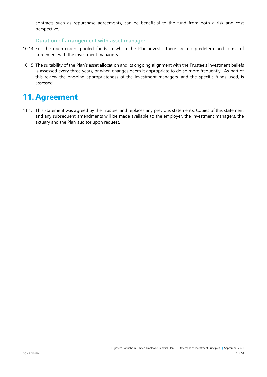contracts such as repurchase agreements, can be beneficial to the fund from both a risk and cost perspective.

#### **Duration of arrangement with asset manager**

- 10.14. For the open-ended pooled funds in which the Plan invests, there are no predetermined terms of agreement with the investment managers.
- 10.15. The suitability of the Plan's asset allocation and its ongoing alignment with the Trustee's investment beliefs is assessed every three years, or when changes deem it appropriate to do so more frequently. As part of this review the ongoing appropriateness of the investment managers, and the specific funds used, is assessed.

### **11. Agreement**

11.1. This statement was agreed by the Trustee, and replaces any previous statements. Copies of this statement and any subsequent amendments will be made available to the employer, the investment managers, the actuary and the Plan auditor upon request.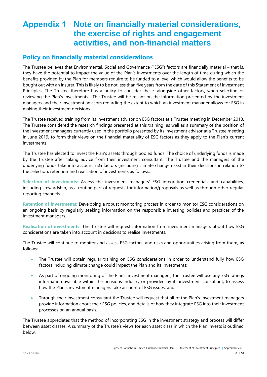### **Appendix 1 Note on financially material considerations, the exercise of rights and engagement activities, and non-financial matters**

### **Policy on financially material considerations**

The Trustee believes that Environmental, Social and Governance ("ESG") factors are financially material – that is, they have the potential to impact the value of the Plan's investments over the length of time during which the benefits provided by the Plan for members require to be funded to a level which would allow the benefits to be bought out with an insurer. This is likely to be not less than five years from the date of this Statement of Investment Principles. The Trustee therefore has a policy to consider these, alongside other factors, when selecting or reviewing the Plan's investments. The Trustee will be reliant on the information presented by the investment managers and their investment advisors regarding the extent to which an investment manager allows for ESG in making their investment decisions.

The Trustee received training from its investment advisor on ESG factors at a Trustee meeting in December 2018. The Trustee considered the research findings presented at this training, as well as a summary of the position of the investment managers currently used in the portfolio presented by its investment advisor at a Trustee meeting in June 2019, to form their views on the financial materiality of ESG factors as they apply to the Plan's current investments.

The Trustee has elected to invest the Plan's assets through pooled funds. The choice of underlying funds is made by the Trustee after taking advice from their investment consultant. The Trustee and the managers of the underlying funds take into account ESG factors (including climate change risks) in their decisions in relation to the selection, retention and realisation of investments as follows:

**Selection of investments:** Assess the investment managers' ESG integration credentials and capabilities, including stewardship, as a routine part of requests for information/proposals as well as through other regular reporting channels.

**Retention of investments:** Developing a robust monitoring process in order to monitor ESG considerations on an ongoing basis by regularly seeking information on the responsible investing policies and practices of the investment managers.

**Realisation of investments:** The Trustee will request information from investment managers about how ESG considerations are taken into account in decisions to realise investments.

The Trustee will continue to monitor and assess ESG factors, and risks and opportunities arising from them, as follows:

- The Trustee will obtain regular training on ESG considerations in order to understand fully how ESG factors including climate change could impact the Plan and its investments;
- As part of ongoing monitoring of the Plan's investment managers, the Trustee will use any ESG ratings information available within the pensions industry or provided by its investment consultant, to assess how the Plan's investment managers take account of ESG issues; and
- Through their investment consultant the Trustee will request that all of the Plan's investment managers provide information about their ESG policies, and details of how they integrate ESG into their investment processes on an annual basis.

The Trustee appreciates that the method of incorporating ESG in the investment strategy and process will differ between asset classes. A summary of the Trustee's views for each asset class in which the Plan invests is outlined below.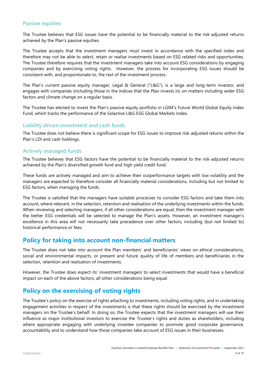#### **Passive equities**

The Trustee believes that ESG issues have the potential to be financially material to the risk-adjusted returns achieved by the Plan's passive equities.

The Trustee accepts that the investment managers must invest in accordance with the specified index and therefore may not be able to select, retain or realise investments based on ESG related risks and opportunities. The Trustee therefore requires that the investment managers take into account ESG considerations by engaging companies and by exercising voting rights. However, the process for incorporating ESG issues should be consistent with, and proportionate to, the rest of the investment process.

The Plan's current passive equity manager, Legal & General ("L&G"), is a large and long-term investor, and engages with companies (including those in the indices that the Plan invests in) on matters including wider ESG factors and climate change on a regular basis.

The Trustee has elected to invest the Plan's passive equity portfolio in LGIM's Future World Global Equity Index Fund, which tracks the performance of the Solactive L&G ESG Global Markets Index.

#### **Liability driven investment and cash funds**

The Trustee does not believe there is significant scope for ESG issues to improve risk-adjusted returns within the Plan's LDI and cash holdings.

#### **Actively managed funds**

The Trustee believes that ESG factors have the potential to be financially material to the risk-adjusted returns achieved by the Plan's diversified growth fund and high yield credit fund.

These funds are actively managed and aim to achieve their outperformance targets with low volatility and the managers are expected to therefore consider all financially material considerations, including but not limited to ESG factors, when managing the funds.

The Trustee is satisfied that the managers have suitable processes to consider ESG factors and take them into account, where relevant, in the selection, retention and realisation of the underlying investments within the funds. When reviewing and selecting managers, if all other considerations are equal, then the investment manager with the better ESG credentials will be selected to manage the Plan's assets. However, an investment manager's excellence in this area will not necessarily take precedence over other factors, including (but not limited to) historical performance or fees.

### **Policy for taking into account non-financial matters**

The Trustee does not take into account the Plan members' and beneficiaries' views on ethical considerations, social and environmental impacts, or present and future quality of life of members and beneficiaries in the selection, retention and realisation of investments.

However, the Trustee does expect its' investment managers to select investments that would have a beneficial impact on each of the above factors, all other considerations being equal.

### **Policy on the exercising of voting rights**

The Trustee's policy on the exercise of rights attaching to investments, including voting rights, and in undertaking engagement activities in respect of the investments is that these rights should be exercised by the investment managers on the Trustee's behalf. In doing so, the Trustee expects that the investment managers will use their influence as major institutional investors to exercise the Trustee's rights and duties as shareholders, including where appropriate engaging with underlying investee companies to promote good corporate governance, accountability and to understand how those companies take account of ESG issues in their businesses.